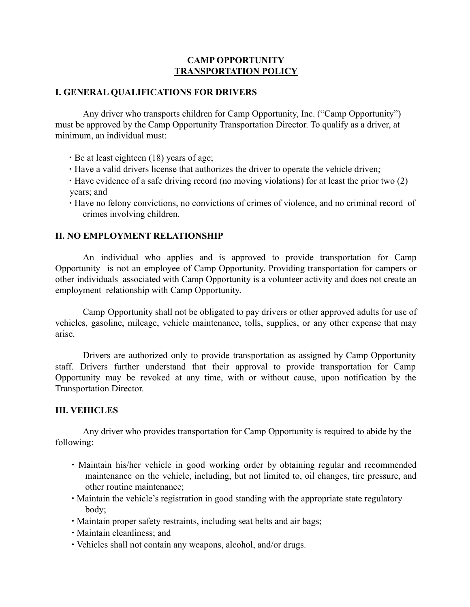# **CAMP OPPORTUNITY TRANSPORTATION POLICY**

# **I. GENERAL QUALIFICATIONS FOR DRIVERS**

Any driver who transports children for Camp Opportunity, Inc. ("Camp Opportunity") must be approved by the Camp Opportunity Transportation Director. To qualify as a driver, at minimum, an individual must:

∙ Be at least eighteen (18) years of age;

- ∙ Have a valid drivers license that authorizes the driver to operate the vehicle driven;
- ∙ Have evidence of a safe driving record (no moving violations) for at least the prior two (2) years; and
- ∙ Have no felony convictions, no convictions of crimes of violence, and no criminal record of crimes involving children.

# **II. NO EMPLOYMENT RELATIONSHIP**

An individual who applies and is approved to provide transportation for Camp Opportunity is not an employee of Camp Opportunity. Providing transportation for campers or other individuals associated with Camp Opportunity is a volunteer activity and does not create an employment relationship with Camp Opportunity.

Camp Opportunity shall not be obligated to pay drivers or other approved adults for use of vehicles, gasoline, mileage, vehicle maintenance, tolls, supplies, or any other expense that may arise.

Drivers are authorized only to provide transportation as assigned by Camp Opportunity staff. Drivers further understand that their approval to provide transportation for Camp Opportunity may be revoked at any time, with or without cause, upon notification by the Transportation Director.

# **III. VEHICLES**

Any driver who provides transportation for Camp Opportunity is required to abide by the following:

- ∙ Maintain his/her vehicle in good working order by obtaining regular and recommended maintenance on the vehicle, including, but not limited to, oil changes, tire pressure, and other routine maintenance;
- ∙ Maintain the vehicle's registration in good standing with the appropriate state regulatory body;
- ∙ Maintain proper safety restraints, including seat belts and air bags;
- ∙ Maintain cleanliness; and
- ∙ Vehicles shall not contain any weapons, alcohol, and/or drugs.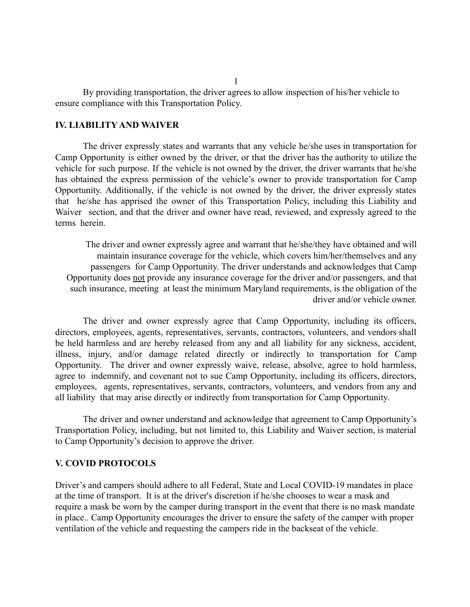By providing transportation, the driver agrees to allow inspection of his/her vehicle to ensure compliance with this Transportation Policy.

## **IV. LIABILITY AND WAIVER**

The driver expressly states and warrants that any vehicle he/she uses in transportation for Camp Opportunity is either owned by the driver, or that the driver has the authority to utilize the vehicle for such purpose. If the vehicle is not owned by the driver, the driver warrants that he/she has obtained the express permission of the vehicle's owner to provide transportation for Camp Opportunity. Additionally, if the vehicle is not owned by the driver, the driver expressly states that he/she has apprised the owner of this Transportation Policy, including this Liability and Waiver section, and that the driver and owner have read, reviewed, and expressly agreed to the terms herein.

The driver and owner expressly agree and warrant that he/she/they have obtained and will maintain insurance coverage for the vehicle, which covers him/her/themselves and any passengers for Camp Opportunity. The driver understands and acknowledges that Camp Opportunity does not provide any insurance coverage for the driver and/or passengers, and that such insurance, meeting at least the minimum Maryland requirements, is the obligation of the driver and/or vehicle owner.

The driver and owner expressly agree that Camp Opportunity, including its officers, directors, employees, agents, representatives, servants, contractors, volunteers, and vendors shall be held harmless and are hereby released from any and all liability for any sickness, accident, illness, injury, and/or damage related directly or indirectly to transportation for Camp Opportunity. The driver and owner expressly waive, release, absolve, agree to hold harmless, agree to indemnify, and covenant not to sue Camp Opportunity, including its officers, directors, employees, agents, representatives, servants, contractors, volunteers, and vendors from any and all liability that may arise directly or indirectly from transportation for Camp Opportunity.

The driver and owner understand and acknowledge that agreement to Camp Opportunity's Transportation Policy, including, but not limited to, this Liability and Waiver section, is material to Camp Opportunity's decision to approve the driver.

### **V. COVID PROTOCOLS**

Driver's and campers should adhere to all Federal, State and Local COVID-19 mandates in place at the time of transport. It is at the driver's discretion if he/she chooses to wear a mask and require a mask be worn by the camper during transport in the event that there is no mask mandate in place.. Camp Opportunity encourages the driver to ensure the safety of the camper with proper ventilation of the vehicle and requesting the campers ride in the backseat of the vehicle.

1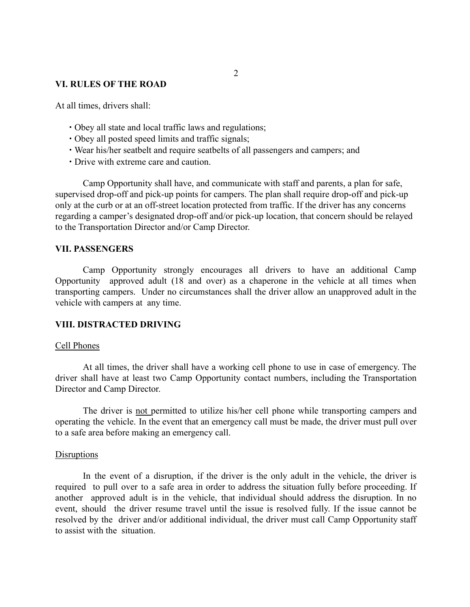# **VI. RULES OF THE ROAD**

At all times, drivers shall:

- ∙ Obey all state and local traffic laws and regulations;
- ∙ Obey all posted speed limits and traffic signals;
- ∙ Wear his/her seatbelt and require seatbelts of all passengers and campers; and
- ∙ Drive with extreme care and caution.

Camp Opportunity shall have, and communicate with staff and parents, a plan for safe, supervised drop-off and pick-up points for campers. The plan shall require drop-off and pick-up only at the curb or at an off-street location protected from traffic. If the driver has any concerns regarding a camper's designated drop-off and/or pick-up location, that concern should be relayed to the Transportation Director and/or Camp Director.

## **VII. PASSENGERS**

Camp Opportunity strongly encourages all drivers to have an additional Camp Opportunity approved adult (18 and over) as a chaperone in the vehicle at all times when transporting campers. Under no circumstances shall the driver allow an unapproved adult in the vehicle with campers at any time.

## **VIII. DISTRACTED DRIVING**

### Cell Phones

At all times, the driver shall have a working cell phone to use in case of emergency. The driver shall have at least two Camp Opportunity contact numbers, including the Transportation Director and Camp Director.

The driver is not permitted to utilize his/her cell phone while transporting campers and operating the vehicle. In the event that an emergency call must be made, the driver must pull over to a safe area before making an emergency call.

#### **Disruptions**

In the event of a disruption, if the driver is the only adult in the vehicle, the driver is required to pull over to a safe area in order to address the situation fully before proceeding. If another approved adult is in the vehicle, that individual should address the disruption. In no event, should the driver resume travel until the issue is resolved fully. If the issue cannot be resolved by the driver and/or additional individual, the driver must call Camp Opportunity staff to assist with the situation.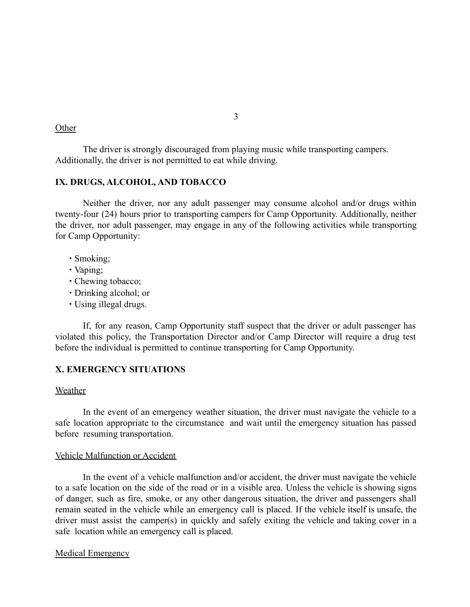**Other** 

The driver is strongly discouraged from playing music while transporting campers. Additionally, the driver is not permitted to eat while driving.

### **IX. DRUGS, ALCOHOL, AND TOBACCO**

Neither the driver, nor any adult passenger may consume alcohol and/or drugs within twenty-four (24) hours prior to transporting campers for Camp Opportunity. Additionally, neither the driver, nor adult passenger, may engage in any of the following activities while transporting for Camp Opportunity:

- ∙ Smoking;
- ∙ Vaping;
- ∙ Chewing tobacco;
- ∙ Drinking alcohol; or
- ∙ Using illegal drugs.

If, for any reason, Camp Opportunity staff suspect that the driver or adult passenger has violated this policy, the Transportation Director and/or Camp Director will require a drug test before the individual is permitted to continue transporting for Camp Opportunity.

## **X. EMERGENCY SITUATIONS**

#### Weather

In the event of an emergency weather situation, the driver must navigate the vehicle to a safe location appropriate to the circumstance and wait until the emergency situation has passed before resuming transportation.

#### Vehicle Malfunction or Accident

In the event of a vehicle malfunction and/or accident, the driver must navigate the vehicle to a safe location on the side of the road or in a visible area. Unless the vehicle is showing signs of danger, such as fire, smoke, or any other dangerous situation, the driver and passengers shall remain seated in the vehicle while an emergency call is placed. If the vehicle itself is unsafe, the driver must assist the camper(s) in quickly and safely exiting the vehicle and taking cover in a safe location while an emergency call is placed.

### Medical Emergency